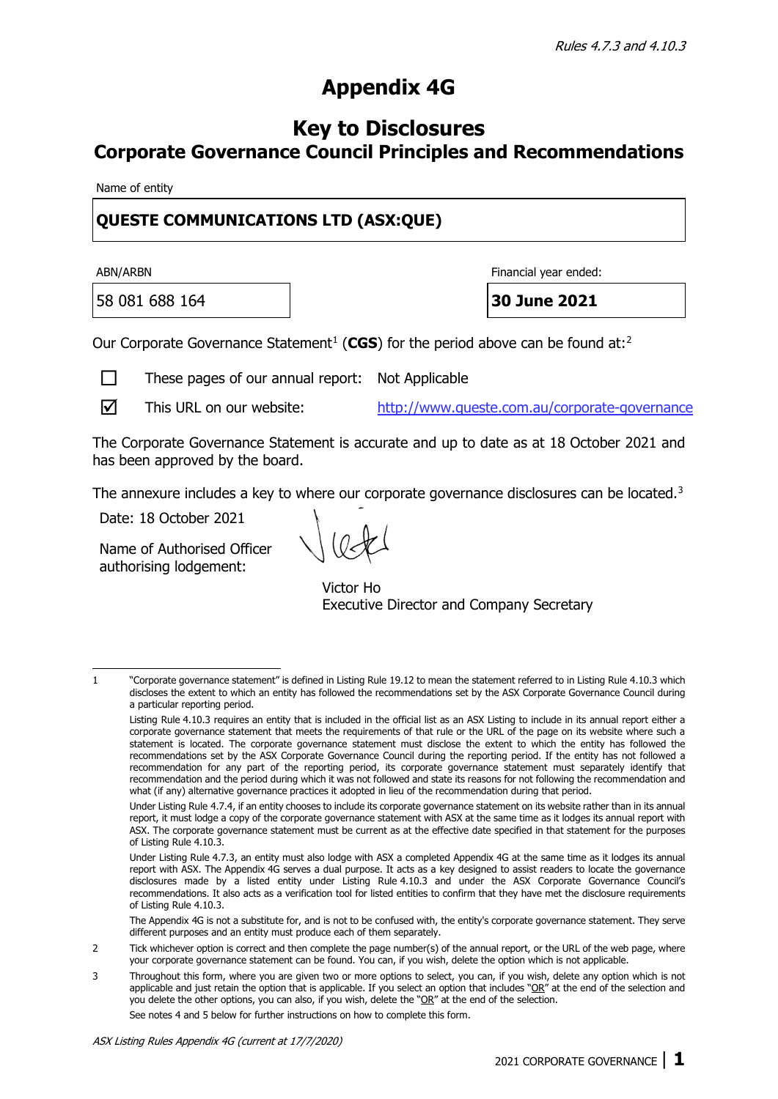## **Appendix 4G**

## **Key to Disclosures Corporate Governance Council Principles and Recommendations**

Name of entity

## **[QUESTE COMMUNICATIONS LTD](http://www.queste.com.au/) (ASX:QUE)**

58 081 688 164 **30 June 2021**

ABN/ARBN Financial year ended:

Our Corporate Governance Statement<sup>[1](#page-0-0)</sup> (CGS) for the period above can be found at:<sup>[2](#page-0-1)</sup>

 $\Box$  These pages of our annual report: Not Applicable

 $\nabla$  This URL on our website: http://www.queste.com.au/corporate-governance

The Corporate Governance Statement is accurate and up to date as at 18 October 2021 and has been approved by the board.

The annexure includes a key to where our corporate governance disclosures can be located.<sup>[3](#page-0-2)</sup>

Date: 18 October 2021

Name of Authorised Officer authorising lodgement:

Victor Ho Executive Director and Company Secretary

The Appendix 4G is not a substitute for, and is not to be confused with, the entity's corporate governance statement. They serve different purposes and an entity must produce each of them separately.

See notes 4 and 5 below for further instructions on how to complete this form.

<span id="page-0-0"></span><sup>1 &</sup>quot;Corporate governance statement" is defined in Listing Rule 19.12 to mean the statement referred to in Listing Rule 4.10.3 which discloses the extent to which an entity has followed the recommendations set by the ASX Corporate Governance Council during a particular reporting period.

Listing Rule 4.10.3 requires an entity that is included in the official list as an ASX Listing to include in its annual report either a corporate governance statement that meets the requirements of that rule or the URL of the page on its website where such a statement is located. The corporate governance statement must disclose the extent to which the entity has followed the recommendations set by the ASX Corporate Governance Council during the reporting period. If the entity has not followed a recommendation for any part of the reporting period, its corporate governance statement must separately identify that recommendation and the period during which it was not followed and state its reasons for not following the recommendation and what (if any) alternative governance practices it adopted in lieu of the recommendation during that period.

Under Listing Rule 4.7.4, if an entity chooses to include its corporate governance statement on its website rather than in its annual report, it must lodge a copy of the corporate governance statement with ASX at the same time as it lodges its annual report with ASX. The corporate governance statement must be current as at the effective date specified in that statement for the purposes of Listing Rule 4.10.3.

Under Listing Rule 4.7.3, an entity must also lodge with ASX a completed Appendix 4G at the same time as it lodges its annual report with ASX. The Appendix 4G serves a dual purpose. It acts as a key designed to assist readers to locate the governance disclosures made by a listed entity under Listing Rule 4.10.3 and under the ASX Corporate Governance Council's recommendations. It also acts as a verification tool for listed entities to confirm that they have met the disclosure requirements of Listing Rule 4.10.3.

<span id="page-0-1"></span><sup>2</sup> Tick whichever option is correct and then complete the page number(s) of the annual report, or the URL of the web page, where your corporate governance statement can be found. You can, if you wish, delete the option which is not applicable.

<span id="page-0-2"></span><sup>3</sup> Throughout this form, where you are given two or more options to select, you can, if you wish, delete any option which is not applicable and just retain the option that is applicable. If you select an option that includes " $OR''$  at the end of the selection and you delete the other options, you can also, if you wish, delete the "OR" at the end of the selection.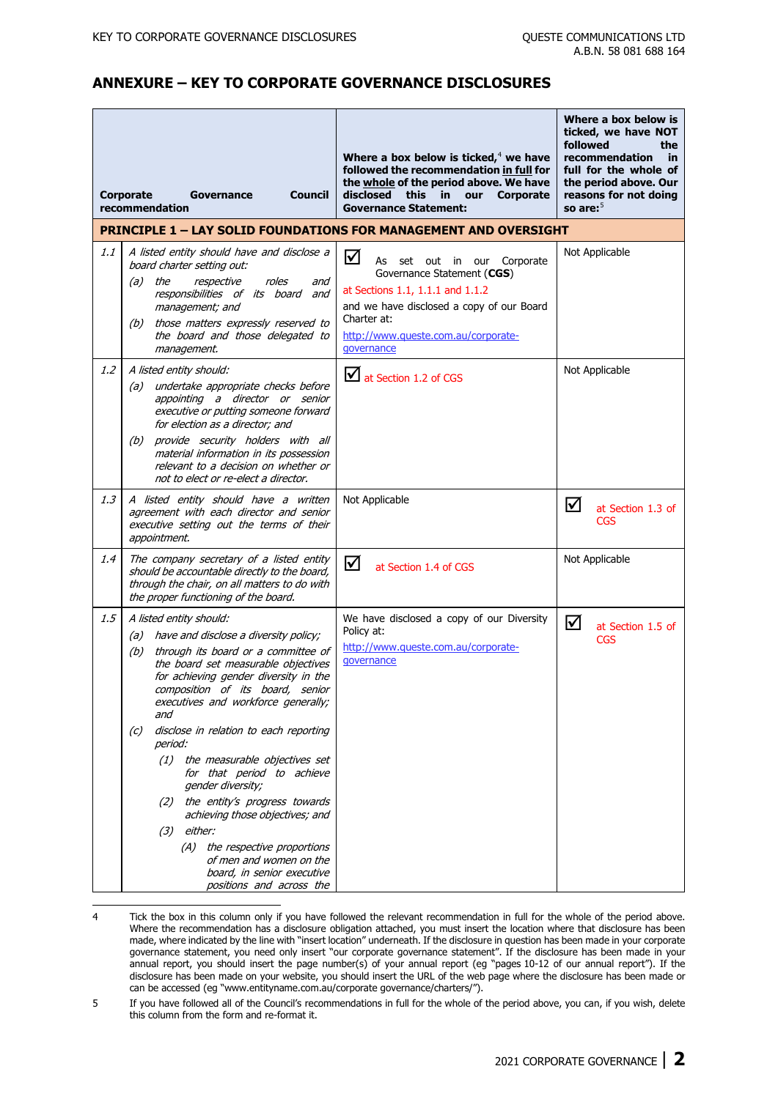## **ANNEXURE – KEY TO CORPORATE GOVERNANCE DISCLOSURES**

|     | <b>Corporate</b><br>Council<br>Governance<br>recommendation                                                                                                                                                                                                                                                                                                                                                                                                                                                                                                                                                                                                  | Where a box below is ticked, $4$ we have<br>followed the recommendation in full for<br>the whole of the period above. We have<br>disclosed this in our<br>Corporate<br><b>Governance Statement:</b>                       | Where a box below is<br>ticked, we have NOT<br>followed<br>the<br>recommendation<br>in<br>full for the whole of<br>the period above. Our<br>reasons for not doing<br>so are: $5$ |
|-----|--------------------------------------------------------------------------------------------------------------------------------------------------------------------------------------------------------------------------------------------------------------------------------------------------------------------------------------------------------------------------------------------------------------------------------------------------------------------------------------------------------------------------------------------------------------------------------------------------------------------------------------------------------------|---------------------------------------------------------------------------------------------------------------------------------------------------------------------------------------------------------------------------|----------------------------------------------------------------------------------------------------------------------------------------------------------------------------------|
|     |                                                                                                                                                                                                                                                                                                                                                                                                                                                                                                                                                                                                                                                              | <b>PRINCIPLE 1 - LAY SOLID FOUNDATIONS FOR MANAGEMENT AND OVERSIGHT</b>                                                                                                                                                   |                                                                                                                                                                                  |
| 1.1 | A listed entity should have and disclose a<br>board charter setting out:<br>$(a)$ the<br>respective<br>roles<br>and<br>responsibilities of its board<br>and<br>management; and<br>(b) those matters expressly reserved to<br>the board and those delegated to<br>management.                                                                                                                                                                                                                                                                                                                                                                                 | ☑<br>Corporate<br>As<br>set out in our<br>Governance Statement (CGS)<br>at Sections 1.1, 1.1.1 and 1.1.2<br>and we have disclosed a copy of our Board<br>Charter at:<br>http://www.queste.com.au/corporate-<br>qovernance | Not Applicable                                                                                                                                                                   |
| 1.2 | A listed entity should:<br>undertake appropriate checks before<br>(a)<br>appointing a director or senior<br>executive or putting someone forward<br>for election as a director; and<br>provide security holders with all<br>(b)<br>material information in its possession<br>relevant to a decision on whether or<br>not to elect or re-elect a director.                                                                                                                                                                                                                                                                                                    | at Section 1.2 of CGS                                                                                                                                                                                                     | Not Applicable                                                                                                                                                                   |
| 1.3 | A listed entity should have a written<br>agreement with each director and senior<br>executive setting out the terms of their<br>appointment.                                                                                                                                                                                                                                                                                                                                                                                                                                                                                                                 | Not Applicable                                                                                                                                                                                                            | $\triangledown$<br>at Section 1.3 of<br><b>CGS</b>                                                                                                                               |
| 1.4 | The company secretary of a listed entity<br>should be accountable directly to the board,<br>through the chair, on all matters to do with<br>the proper functioning of the board.                                                                                                                                                                                                                                                                                                                                                                                                                                                                             | ☑<br>at Section 1.4 of CGS                                                                                                                                                                                                | Not Applicable                                                                                                                                                                   |
| 1.5 | A listed entity should:<br>(a) have and disclose a diversity policy;<br>through its board or a committee of<br>(b)<br>the board set measurable objectives<br>for achieving gender diversity in the<br>composition of its board, senior<br>executives and workforce generally;<br>and<br>disclose in relation to each reporting<br>(c)<br>period:<br>(1) the measurable objectives set<br>for that period to achieve<br>gender diversity;<br>the entity's progress towards<br>(2)<br>achieving those objectives; and<br>either:<br>(3)<br>(A) the respective proportions<br>of men and women on the<br>board, in senior executive<br>positions and across the | We have disclosed a copy of our Diversity<br>Policy at:<br>http://www.queste.com.au/corporate-<br>governance                                                                                                              | ☑<br>at Section 1.5 of<br><b>CGS</b>                                                                                                                                             |

<span id="page-1-0"></span><sup>4</sup> Tick the box in this column only if you have followed the relevant recommendation in full for the whole of the period above. Where the recommendation has a disclosure obligation attached, you must insert the location where that disclosure has been made, where indicated by the line with "insert location" underneath. If the disclosure in question has been made in your corporate governance statement, you need only insert "our corporate governance statement". If the disclosure has been made in your annual report, you should insert the page number(s) of your annual report (eg "pages 10-12 of our annual report"). If the disclosure has been made on your website, you should insert the URL of the web page where the disclosure has been made or can be accessed (eg "www.entityname.com.au/corporate governance/charters/").

<span id="page-1-1"></span><sup>5</sup> If you have followed all of the Council's recommendations in full for the whole of the period above, you can, if you wish, delete this column from the form and re-format it.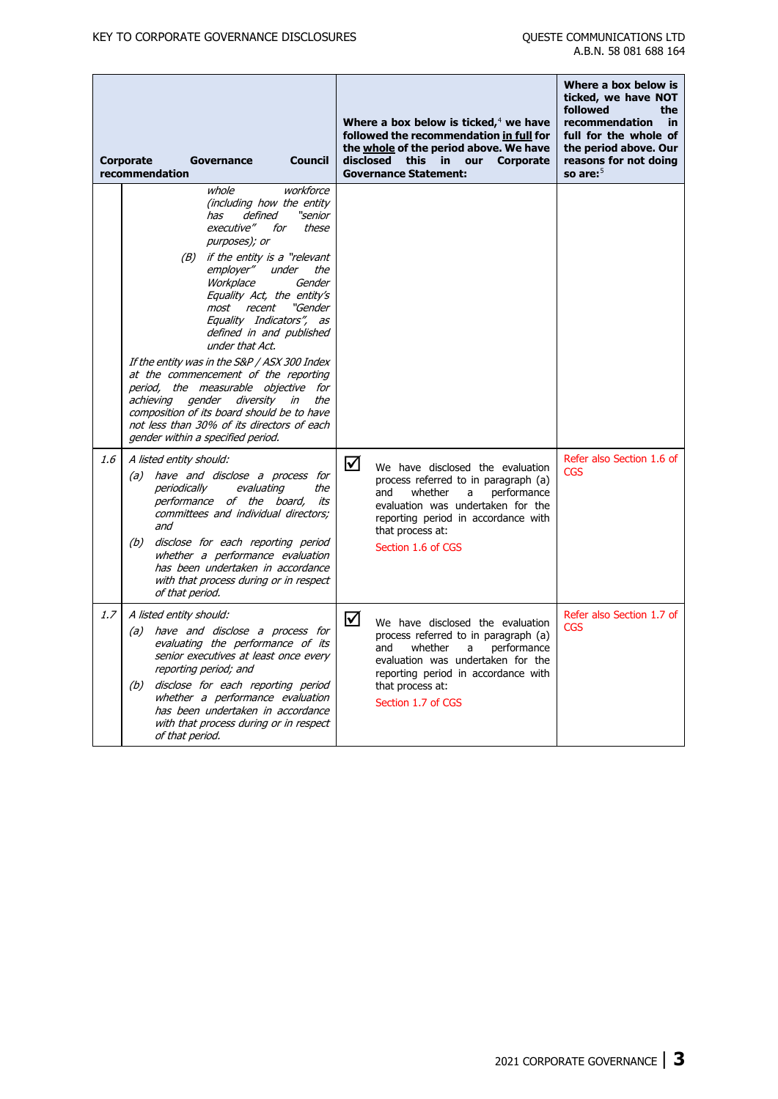|     | <b>Council</b><br><b>Corporate</b><br>Governance<br>recommendation                                                                                                                                                                                                                                                                                                                                                                                                                                                                                                                                                                                                        | Where a box below is ticked, $4$ we have<br>followed the recommendation in full for<br>the whole of the period above. We have<br>disclosed<br>this<br>in.<br>our<br><b>Corporate</b><br><b>Governance Statement:</b>                      | Where a box below is<br>ticked, we have NOT<br>followed<br>the<br>recommendation<br>in<br>full for the whole of<br>the period above. Our<br>reasons for not doing<br>so are: $5$ |
|-----|---------------------------------------------------------------------------------------------------------------------------------------------------------------------------------------------------------------------------------------------------------------------------------------------------------------------------------------------------------------------------------------------------------------------------------------------------------------------------------------------------------------------------------------------------------------------------------------------------------------------------------------------------------------------------|-------------------------------------------------------------------------------------------------------------------------------------------------------------------------------------------------------------------------------------------|----------------------------------------------------------------------------------------------------------------------------------------------------------------------------------|
|     | workforce<br>whole<br>(including how the entity<br>"senior<br>defined<br>has<br>executive"<br>for<br>these<br>purposes); or<br>(B) if the entity is a "relevant"<br>employer"<br>the<br>under<br>Workplace<br>Gender<br>Equality Act, the entity's<br>most<br>recent<br>"Gender<br>Equality Indicators", as<br>defined in and published<br>under that Act.<br>If the entity was in the S&P / ASX 300 Index<br>at the commencement of the reporting<br>period, the measurable objective for<br>achieving<br>gender diversity<br>the<br>in<br>composition of its board should be to have<br>not less than 30% of its directors of each<br>gender within a specified period. |                                                                                                                                                                                                                                           |                                                                                                                                                                                  |
| 1.6 | A listed entity should:<br>have and disclose a process for<br>(a)<br>periodically<br>evaluating<br>the<br>performance of the board,<br>its<br>committees and individual directors;<br>and<br>(b)<br>disclose for each reporting period<br>whether a performance evaluation<br>has been undertaken in accordance<br>with that process during or in respect<br>of that period.                                                                                                                                                                                                                                                                                              | ☑<br>We have disclosed the evaluation<br>process referred to in paragraph (a)<br>and<br>whether<br>performance<br>a<br>evaluation was undertaken for the<br>reporting period in accordance with<br>that process at:<br>Section 1.6 of CGS | Refer also Section 1.6 of<br><b>CGS</b>                                                                                                                                          |
| 1.7 | A listed entity should:<br>(a) have and disclose a process for<br>evaluating the performance of its<br>senior executives at least once every<br>reporting period; and<br>disclose for each reporting period<br>(b)<br>whether a performance evaluation<br>has been undertaken in accordance<br>with that process during or in respect<br>of that period.                                                                                                                                                                                                                                                                                                                  | ☑<br>We have disclosed the evaluation<br>process referred to in paragraph (a)<br>whether<br>performance<br>and<br>a<br>evaluation was undertaken for the<br>reporting period in accordance with<br>that process at:<br>Section 1.7 of CGS | Refer also Section 1.7 of<br><b>CGS</b>                                                                                                                                          |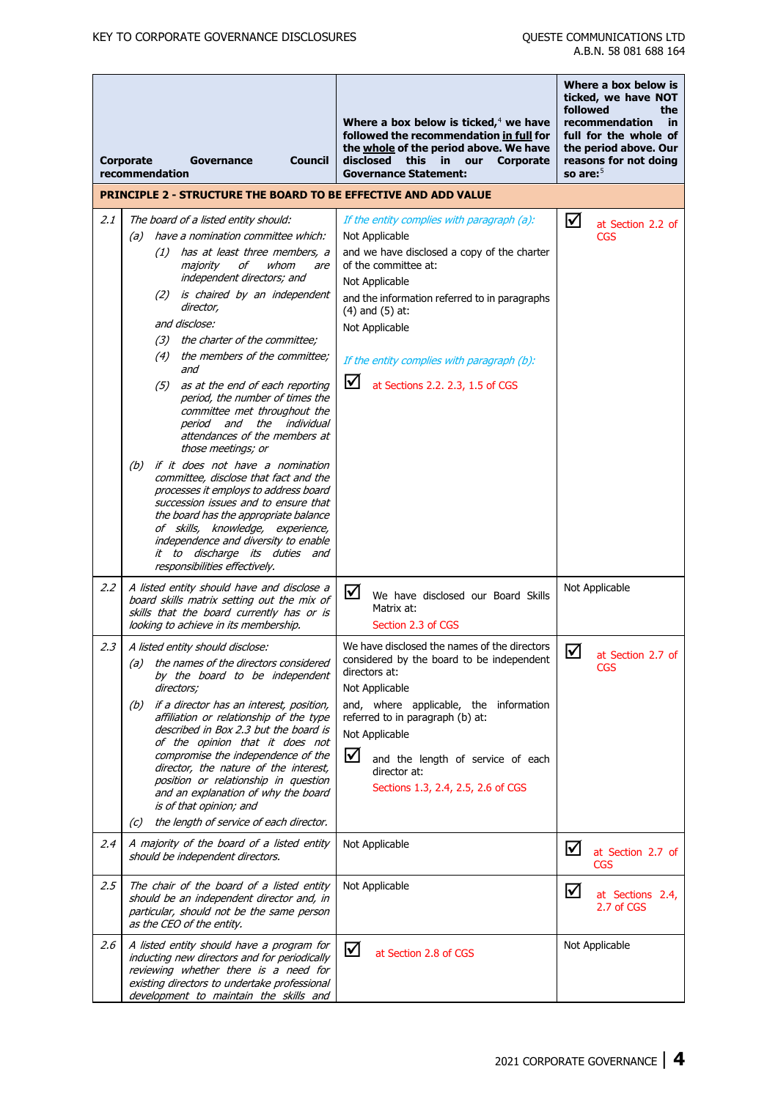|     | <b>Council</b><br><b>Corporate</b><br>Governance<br>recommendation                                                                                                                                                                                                                                                                                                                                                                                                                                                                                                                                                                                                                                                                                                                                                                                                                                         | Where a box below is ticked, $4$ we have<br>followed the recommendation in full for<br>the whole of the period above. We have<br>disclosed<br>this<br>in.<br>our<br><b>Corporate</b><br><b>Governance Statement:</b>                                                                                                                   | Where a box below is<br>ticked, we have NOT<br>followed<br>the<br>recommendation<br>in<br>full for the whole of<br>the period above. Our<br>reasons for not doing<br>so are: $5$ |
|-----|------------------------------------------------------------------------------------------------------------------------------------------------------------------------------------------------------------------------------------------------------------------------------------------------------------------------------------------------------------------------------------------------------------------------------------------------------------------------------------------------------------------------------------------------------------------------------------------------------------------------------------------------------------------------------------------------------------------------------------------------------------------------------------------------------------------------------------------------------------------------------------------------------------|----------------------------------------------------------------------------------------------------------------------------------------------------------------------------------------------------------------------------------------------------------------------------------------------------------------------------------------|----------------------------------------------------------------------------------------------------------------------------------------------------------------------------------|
|     | <b>PRINCIPLE 2 - STRUCTURE THE BOARD TO BE EFFECTIVE AND ADD VALUE</b>                                                                                                                                                                                                                                                                                                                                                                                                                                                                                                                                                                                                                                                                                                                                                                                                                                     |                                                                                                                                                                                                                                                                                                                                        |                                                                                                                                                                                  |
| 2.1 | The board of a listed entity should:<br>have a nomination committee which:<br>(a)<br>has at least three members, a<br>(1)<br>majority<br>оf<br>whom<br>are<br>independent directors; and<br>(2) is chaired by an independent<br>director,<br>and disclose:<br>(3) the charter of the committee;<br>(4) the members of the committee;<br>and<br>as at the end of each reporting<br>(5)<br>period, the number of times the<br>committee met throughout the<br>period and the individual<br>attendances of the members at<br>those meetings; or<br>if it does not have a nomination<br>(b)<br>committee, disclose that fact and the<br>processes it employs to address board<br>succession issues and to ensure that<br>the board has the appropriate balance<br>of skills, knowledge, experience,<br>independence and diversity to enable<br>it to discharge its duties and<br>responsibilities effectively. | If the entity complies with paragraph (a):<br>Not Applicable<br>and we have disclosed a copy of the charter<br>of the committee at:<br>Not Applicable<br>and the information referred to in paragraphs<br>$(4)$ and $(5)$ at:<br>Not Applicable<br>If the entity complies with paragraph (b):<br>⊻<br>at Sections 2.2. 2.3, 1.5 of CGS | ☑<br>at Section 2.2 of<br><b>CGS</b>                                                                                                                                             |
| 2.2 | A listed entity should have and disclose a<br>board skills matrix setting out the mix of<br>skills that the board currently has or is<br>looking to achieve in its membership.                                                                                                                                                                                                                                                                                                                                                                                                                                                                                                                                                                                                                                                                                                                             | ☑<br>We have disclosed our Board Skills<br>Matrix at:<br>Section 2.3 of CGS                                                                                                                                                                                                                                                            | Not Applicable                                                                                                                                                                   |
| 2.3 | A listed entity should disclose:<br>the names of the directors considered<br>(a)<br>by the board to be independent<br>directors;<br>if a director has an interest, position,<br>(b)<br>affiliation or relationship of the type<br>described in Box 2.3 but the board is<br>of the opinion that it does not<br>compromise the independence of the<br>director, the nature of the interest,<br>position or relationship in question<br>and an explanation of why the board<br>is of that opinion; and<br>the length of service of each director.<br>(C)                                                                                                                                                                                                                                                                                                                                                      | We have disclosed the names of the directors<br>considered by the board to be independent<br>directors at:<br>Not Applicable<br>and, where applicable, the information<br>referred to in paragraph (b) at:<br>Not Applicable<br>☑<br>and the length of service of each<br>director at:<br>Sections 1.3, 2.4, 2.5, 2.6 of CGS           | $\boxtimes$<br>at Section 2.7 of<br><b>CGS</b>                                                                                                                                   |
| 2.4 | A majority of the board of a listed entity<br>should be independent directors.                                                                                                                                                                                                                                                                                                                                                                                                                                                                                                                                                                                                                                                                                                                                                                                                                             | Not Applicable                                                                                                                                                                                                                                                                                                                         | ☑<br>at Section 2.7 of<br><b>CGS</b>                                                                                                                                             |
| 2.5 | The chair of the board of a listed entity<br>should be an independent director and, in<br>particular, should not be the same person<br>as the CEO of the entity.                                                                                                                                                                                                                                                                                                                                                                                                                                                                                                                                                                                                                                                                                                                                           | Not Applicable                                                                                                                                                                                                                                                                                                                         | ☑<br>at Sections 2.4,<br>2.7 of CGS                                                                                                                                              |
| 2.6 | A listed entity should have a program for<br>inducting new directors and for periodically<br>reviewing whether there is a need for<br>existing directors to undertake professional<br>development to maintain the skills and                                                                                                                                                                                                                                                                                                                                                                                                                                                                                                                                                                                                                                                                               | ☑<br>at Section 2.8 of CGS                                                                                                                                                                                                                                                                                                             | Not Applicable                                                                                                                                                                   |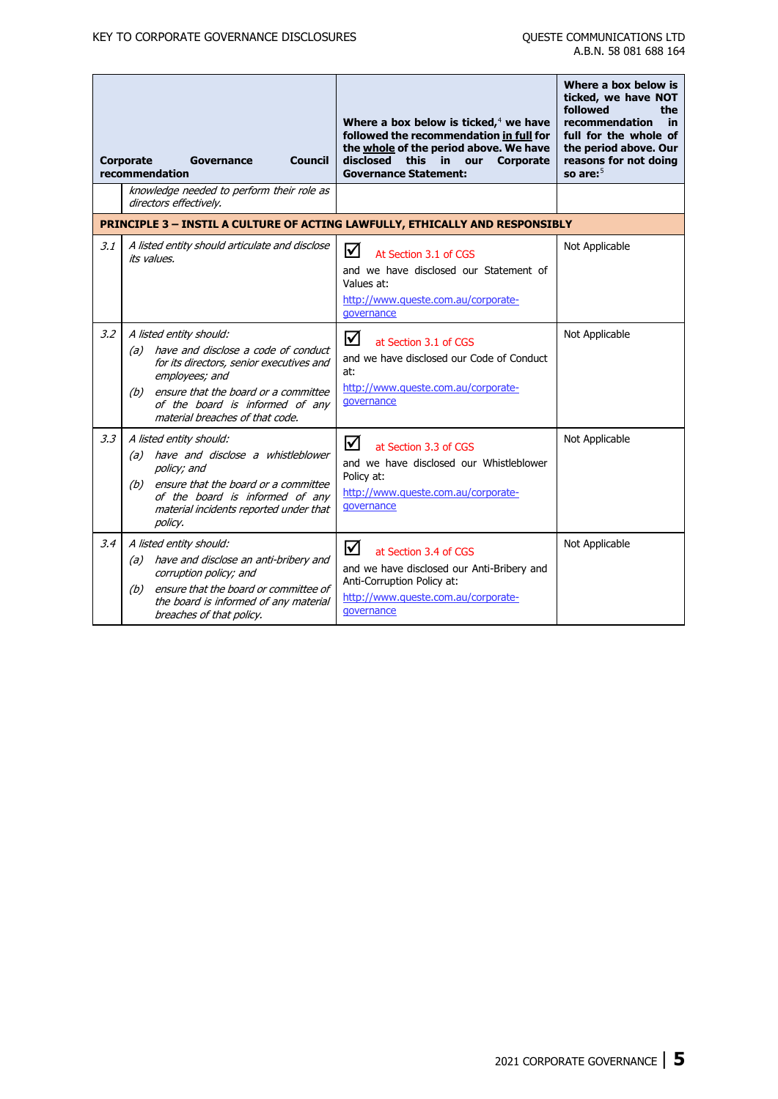|     | Corporate<br><b>Council</b><br>Governance<br>recommendation                                                                                                                                                                                           | Where a box below is ticked, $4$ we have<br>followed the recommendation in full for<br>the whole of the period above. We have<br>disclosed<br>this<br>Corporate<br>in.<br>our<br><b>Governance Statement:</b> | Where a box below is<br>ticked, we have NOT<br>followed<br>the<br>recommendation<br>in<br>full for the whole of<br>the period above. Our<br>reasons for not doing<br>so are: $5$ |
|-----|-------------------------------------------------------------------------------------------------------------------------------------------------------------------------------------------------------------------------------------------------------|---------------------------------------------------------------------------------------------------------------------------------------------------------------------------------------------------------------|----------------------------------------------------------------------------------------------------------------------------------------------------------------------------------|
|     | knowledge needed to perform their role as<br>directors effectively.                                                                                                                                                                                   |                                                                                                                                                                                                               |                                                                                                                                                                                  |
|     |                                                                                                                                                                                                                                                       | PRINCIPLE 3 - INSTIL A CULTURE OF ACTING LAWFULLY, ETHICALLY AND RESPONSIBLY                                                                                                                                  |                                                                                                                                                                                  |
| 3.1 | A listed entity should articulate and disclose<br>its values.                                                                                                                                                                                         | ☑<br>At Section 3.1 of CGS<br>and we have disclosed our Statement of<br>Values at:<br>http://www.queste.com.au/corporate-<br>governance                                                                       | Not Applicable                                                                                                                                                                   |
| 3.2 | A listed entity should:<br>(a) have and disclose a code of conduct<br>for its directors, senior executives and<br>employees; and<br>ensure that the board or a committee<br>(b)<br>of the board is informed of any<br>material breaches of that code. | ☑<br>at Section 3.1 of CGS<br>and we have disclosed our Code of Conduct<br>at:<br>http://www.queste.com.au/corporate-<br>qovernance                                                                           | Not Applicable                                                                                                                                                                   |
| 3.3 | A listed entity should:<br>(a) have and disclose a whistleblower<br>policy; and<br>(b) ensure that the board or a committee<br>of the board is informed of any<br>material incidents reported under that<br>policy.                                   | ☑<br>at Section 3.3 of CGS<br>and we have disclosed our Whistleblower<br>Policy at:<br>http://www.queste.com.au/corporate-<br>qovernance                                                                      | Not Applicable                                                                                                                                                                   |
| 3.4 | A listed entity should:<br>(a) have and disclose an anti-bribery and<br>corruption policy; and<br>ensure that the board or committee of<br>(b)<br>the board is informed of any material<br>breaches of that policy.                                   | ☑<br>at Section 3.4 of CGS<br>and we have disclosed our Anti-Bribery and<br>Anti-Corruption Policy at:<br>http://www.queste.com.au/corporate-<br>governance                                                   | Not Applicable                                                                                                                                                                   |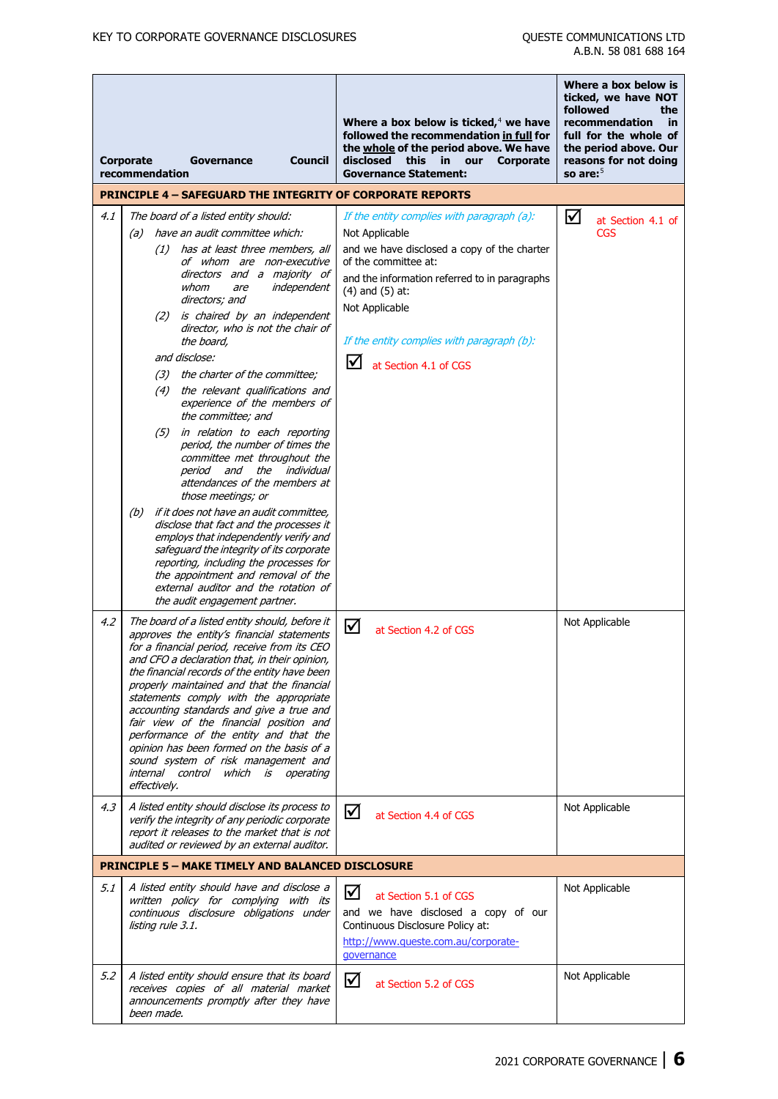|     | Corporate<br>recommendation |                   | Governance                                                                                                                                                                                                                                                                                                                                                                                                                                                                                                                                                                               | <b>Council</b> | Where a box below is ticked, $4$ we have<br>followed the recommendation in full for<br>the whole of the period above. We have<br>disclosed<br>this<br><b>Corporate</b><br>in.<br>our<br><b>Governance Statement:</b><br><b>PRINCIPLE 4 - SAFEGUARD THE INTEGRITY OF CORPORATE REPORTS</b>                 | Where a box below is<br>ticked, we have NOT<br>followed<br>the<br>recommendation<br>in<br>full for the whole of<br>the period above. Our<br>reasons for not doing<br>so are: $5$ |
|-----|-----------------------------|-------------------|------------------------------------------------------------------------------------------------------------------------------------------------------------------------------------------------------------------------------------------------------------------------------------------------------------------------------------------------------------------------------------------------------------------------------------------------------------------------------------------------------------------------------------------------------------------------------------------|----------------|-----------------------------------------------------------------------------------------------------------------------------------------------------------------------------------------------------------------------------------------------------------------------------------------------------------|----------------------------------------------------------------------------------------------------------------------------------------------------------------------------------|
|     |                             |                   |                                                                                                                                                                                                                                                                                                                                                                                                                                                                                                                                                                                          |                |                                                                                                                                                                                                                                                                                                           |                                                                                                                                                                                  |
| 4.1 | (a)                         | (1)<br>(3)<br>(4) | The board of a listed entity should:<br>have an audit committee which:<br>has at least three members, all<br>of whom are non-executive<br>directors and a majority of<br>whom<br>independent<br>are<br>directors; and<br>(2) is chaired by an independent<br>director, who is not the chair of<br>the board,<br>and disclose:<br>the charter of the committee;<br>the relevant qualifications and<br>experience of the members of<br>the committee; and<br>(5) in relation to each reporting<br>period, the number of times the<br>committee met throughout the                          |                | If the entity complies with paragraph (a):<br>Not Applicable<br>and we have disclosed a copy of the charter<br>of the committee at:<br>and the information referred to in paragraphs<br>$(4)$ and $(5)$ at:<br>Not Applicable<br>If the entity complies with paragraph (b):<br>⋈<br>at Section 4.1 of CGS | ☑<br>at Section 4.1 of<br><b>CGS</b>                                                                                                                                             |
|     | (b)                         |                   | period and the<br>attendances of the members at<br>those meetings; or<br>if it does not have an audit committee,<br>disclose that fact and the processes it<br>employs that independently verify and<br>safeguard the integrity of its corporate<br>reporting, including the processes for<br>the appointment and removal of the<br>external auditor and the rotation of<br>the audit engagement partner.                                                                                                                                                                                | individual     |                                                                                                                                                                                                                                                                                                           |                                                                                                                                                                                  |
| 4.2 |                             | effectively.      | The board of a listed entity should, before it<br>approves the entity's financial statements<br>for a financial period, receive from its CEO<br>and CFO a declaration that, in their opinion,<br>the financial records of the entity have been<br>properly maintained and that the financial<br>statements comply with the appropriate<br>accounting standards and give a true and<br>fair view of the financial position and<br>performance of the entity and that the<br>opinion has been formed on the basis of a<br>sound system of risk management and<br>internal control which is | operating      | ☑<br>at Section 4.2 of CGS                                                                                                                                                                                                                                                                                | Not Applicable                                                                                                                                                                   |
| 4.3 |                             |                   | A listed entity should disclose its process to<br>verify the integrity of any periodic corporate<br>report it releases to the market that is not<br>audited or reviewed by an external auditor.                                                                                                                                                                                                                                                                                                                                                                                          |                | ☑<br>at Section 4.4 of CGS                                                                                                                                                                                                                                                                                | Not Applicable                                                                                                                                                                   |
|     |                             |                   | <b>PRINCIPLE 5 - MAKE TIMELY AND BALANCED DISCLOSURE</b>                                                                                                                                                                                                                                                                                                                                                                                                                                                                                                                                 |                |                                                                                                                                                                                                                                                                                                           |                                                                                                                                                                                  |
| 5.1 |                             | listing rule 3.1. | A listed entity should have and disclose a<br>written policy for complying with its<br>continuous disclosure obligations under                                                                                                                                                                                                                                                                                                                                                                                                                                                           |                | ☑<br>at Section 5.1 of CGS<br>and we have disclosed a copy of our<br>Continuous Disclosure Policy at:<br>http://www.queste.com.au/corporate-<br>qovernance                                                                                                                                                | Not Applicable                                                                                                                                                                   |
| 5.2 |                             | been made.        | A listed entity should ensure that its board<br>receives copies of all material market<br>announcements promptly after they have                                                                                                                                                                                                                                                                                                                                                                                                                                                         |                | ☑<br>at Section 5.2 of CGS                                                                                                                                                                                                                                                                                | Not Applicable                                                                                                                                                                   |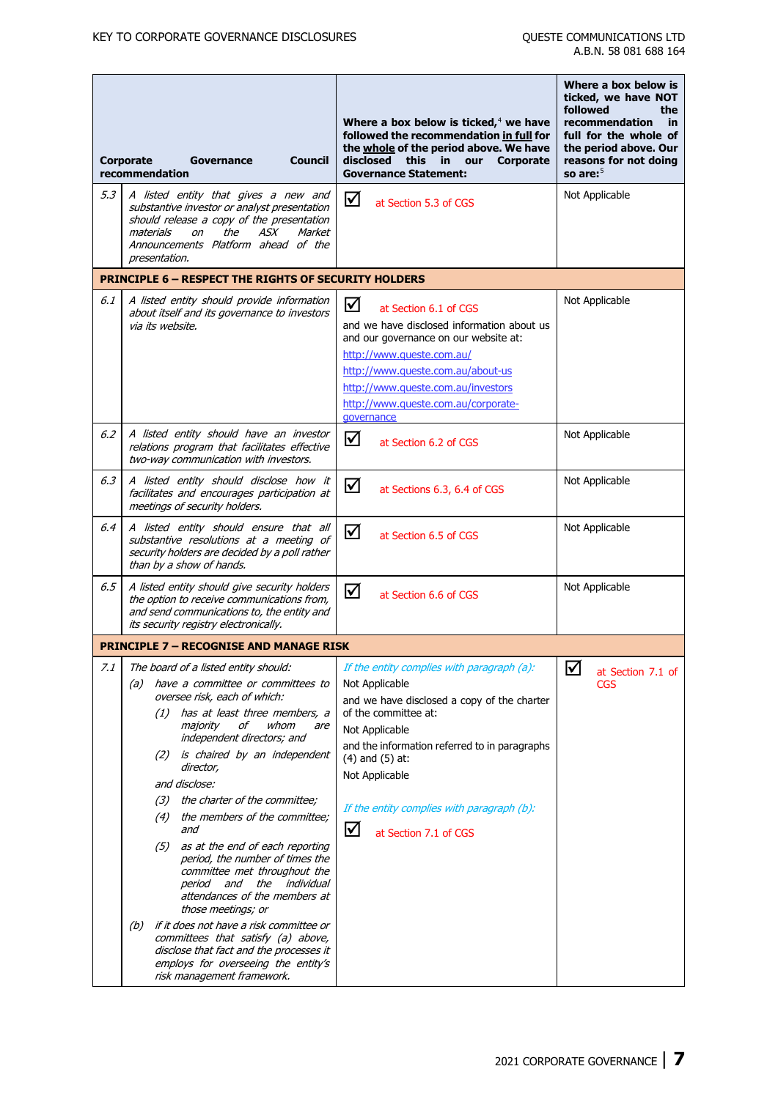|     |                                    |                            |                                                                                                                                                                                                        |                                                                                                                                                                                                                                                                                | Where a box below is<br>ticked, we have NOT<br>followed<br>the                                                 |
|-----|------------------------------------|----------------------------|--------------------------------------------------------------------------------------------------------------------------------------------------------------------------------------------------------|--------------------------------------------------------------------------------------------------------------------------------------------------------------------------------------------------------------------------------------------------------------------------------|----------------------------------------------------------------------------------------------------------------|
|     | <b>Corporate</b><br>recommendation |                            | <b>Council</b><br>Governance                                                                                                                                                                           | Where a box below is ticked, $4$ we have<br>followed the recommendation in full for<br>the whole of the period above. We have<br>disclosed this<br>in<br><b>Corporate</b><br>our<br><b>Governance Statement:</b>                                                               | recommendation<br>in<br>full for the whole of<br>the period above. Our<br>reasons for not doing<br>so are: $5$ |
| 5.3 |                                    | materials<br>presentation. | A listed entity that gives a new and<br>substantive investor or analyst presentation<br>should release a copy of the presentation<br>the<br>ASX<br>Market<br>on<br>Announcements Platform ahead of the | ☑<br>at Section 5.3 of CGS                                                                                                                                                                                                                                                     | Not Applicable                                                                                                 |
|     |                                    |                            | <b>PRINCIPLE 6 - RESPECT THE RIGHTS OF SECURITY HOLDERS</b>                                                                                                                                            |                                                                                                                                                                                                                                                                                |                                                                                                                |
| 6.1 |                                    | via its website.           | A listed entity should provide information<br>about itself and its governance to investors                                                                                                             | ☑<br>at Section 6.1 of CGS<br>and we have disclosed information about us<br>and our governance on our website at:<br>http://www.queste.com.au/<br>http://www.queste.com.au/about-us<br>http://www.queste.com.au/investors<br>http://www.queste.com.au/corporate-<br>governance | Not Applicable                                                                                                 |
| 6.2 |                                    |                            | A listed entity should have an investor<br>relations program that facilitates effective<br>two-way communication with investors.                                                                       | ☑<br>at Section 6.2 of CGS                                                                                                                                                                                                                                                     | Not Applicable                                                                                                 |
| 6.3 |                                    |                            | A listed entity should disclose how it<br>facilitates and encourages participation at<br>meetings of security holders.                                                                                 | ☑<br>at Sections 6.3, 6.4 of CGS                                                                                                                                                                                                                                               | Not Applicable                                                                                                 |
| 6.4 |                                    |                            | A listed entity should ensure that all<br>substantive resolutions at a meeting of<br>security holders are decided by a poll rather<br>than by a show of hands.                                         | ☑<br>at Section 6.5 of CGS                                                                                                                                                                                                                                                     | Not Applicable                                                                                                 |
| 6.5 |                                    |                            | A listed entity should give security holders<br>the option to receive communications from,<br>and send communications to, the entity and<br>its security registry electronically.                      | ☑<br>at Section 6.6 of CGS                                                                                                                                                                                                                                                     | Not Applicable                                                                                                 |
|     |                                    |                            | <b>PRINCIPLE 7 - RECOGNISE AND MANAGE RISK</b>                                                                                                                                                         |                                                                                                                                                                                                                                                                                |                                                                                                                |
| 7.1 |                                    |                            | The board of a listed entity should:                                                                                                                                                                   | If the entity complies with paragraph (a):                                                                                                                                                                                                                                     | ☑<br>at Section 7.1 of                                                                                         |
|     |                                    |                            | (a) have a committee or committees to<br>oversee risk, each of which:<br>$(1)$ has at least three members, a<br>whom<br>majority<br>οf<br>are<br>independent directors; and                            | Not Applicable<br>and we have disclosed a copy of the charter<br>of the committee at:<br>Not Applicable                                                                                                                                                                        | <b>CGS</b>                                                                                                     |
|     |                                    |                            | (2) is chaired by an independent<br>director,<br>and disclose:                                                                                                                                         | and the information referred to in paragraphs<br>$(4)$ and $(5)$ at:<br>Not Applicable                                                                                                                                                                                         |                                                                                                                |
|     |                                    |                            | (3) the charter of the committee;                                                                                                                                                                      | If the entity complies with paragraph (b):                                                                                                                                                                                                                                     |                                                                                                                |
|     |                                    |                            | (4) the members of the committee;<br>and                                                                                                                                                               | ☑<br>at Section 7.1 of CGS                                                                                                                                                                                                                                                     |                                                                                                                |
|     |                                    | (5)                        | as at the end of each reporting<br>period, the number of times the<br>committee met throughout the<br>period and the<br>individual<br>attendances of the members at<br>those meetings; or              |                                                                                                                                                                                                                                                                                |                                                                                                                |
|     | (b)                                |                            | if it does not have a risk committee or<br>committees that satisfy (a) above,<br>disclose that fact and the processes it<br>employs for overseeing the entity's<br>risk management framework.          |                                                                                                                                                                                                                                                                                |                                                                                                                |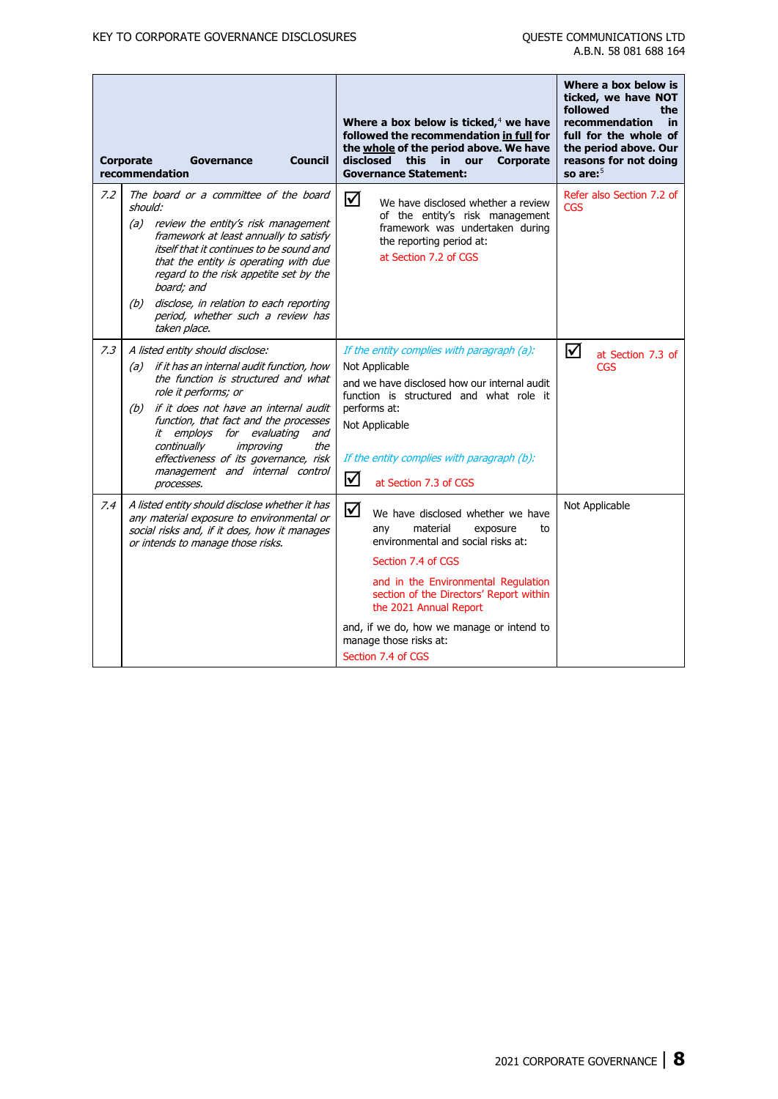|     | <b>Corporate</b><br><b>Council</b><br><b>Governance</b><br>recommendation                                                                                                                                                                                                                                                                                                                                  | Where a box below is ticked, $4$ we have<br>followed the recommendation in full for<br>the whole of the period above. We have<br>disclosed this<br>in.<br><b>Corporate</b><br>our<br><b>Governance Statement:</b>                                                                                                                                | Where a box below is<br>ticked, we have NOT<br>followed<br>the<br>recommendation<br>in<br>full for the whole of<br>the period above. Our<br>reasons for not doing<br>so are: $5$ |
|-----|------------------------------------------------------------------------------------------------------------------------------------------------------------------------------------------------------------------------------------------------------------------------------------------------------------------------------------------------------------------------------------------------------------|--------------------------------------------------------------------------------------------------------------------------------------------------------------------------------------------------------------------------------------------------------------------------------------------------------------------------------------------------|----------------------------------------------------------------------------------------------------------------------------------------------------------------------------------|
| 7.2 | The board or a committee of the board<br>should:<br>(a) review the entity's risk management<br>framework at least annually to satisfy<br>itself that it continues to be sound and<br>that the entity is operating with due<br>regard to the risk appetite set by the<br>board; and<br>disclose, in relation to each reporting<br>(b)<br>period, whether such a review has<br>taken place.                  | ☑<br>We have disclosed whether a review<br>of the entity's risk management<br>framework was undertaken during<br>the reporting period at:<br>at Section 7.2 of CGS                                                                                                                                                                               | Refer also Section 7.2 of<br><b>CGS</b>                                                                                                                                          |
| 7.3 | A listed entity should disclose:<br>(a) if it has an internal audit function, how<br>the function is structured and what<br>role it performs; or<br>(b) if it does not have an internal audit<br>function, that fact and the processes<br>it employs<br>for evaluating<br>and<br>continually<br>the<br>improving<br>effectiveness of its governance, risk<br>management and internal control<br>processes. | If the entity complies with paragraph (a):<br>Not Applicable<br>and we have disclosed how our internal audit<br>function is structured and what role it<br>performs at:<br>Not Applicable<br>If the entity complies with paragraph (b):<br>☑<br>at Section 7.3 of CGS                                                                            | $\triangledown$<br>at Section 7.3 of<br><b>CGS</b>                                                                                                                               |
| 7.4 | A listed entity should disclose whether it has<br>any material exposure to environmental or<br>social risks and, if it does, how it manages<br>or intends to manage those risks.                                                                                                                                                                                                                           | ☑<br>We have disclosed whether we have<br>material<br>anv<br>exposure<br>to<br>environmental and social risks at:<br>Section 7.4 of CGS<br>and in the Environmental Regulation<br>section of the Directors' Report within<br>the 2021 Annual Report<br>and, if we do, how we manage or intend to<br>manage those risks at:<br>Section 7.4 of CGS | Not Applicable                                                                                                                                                                   |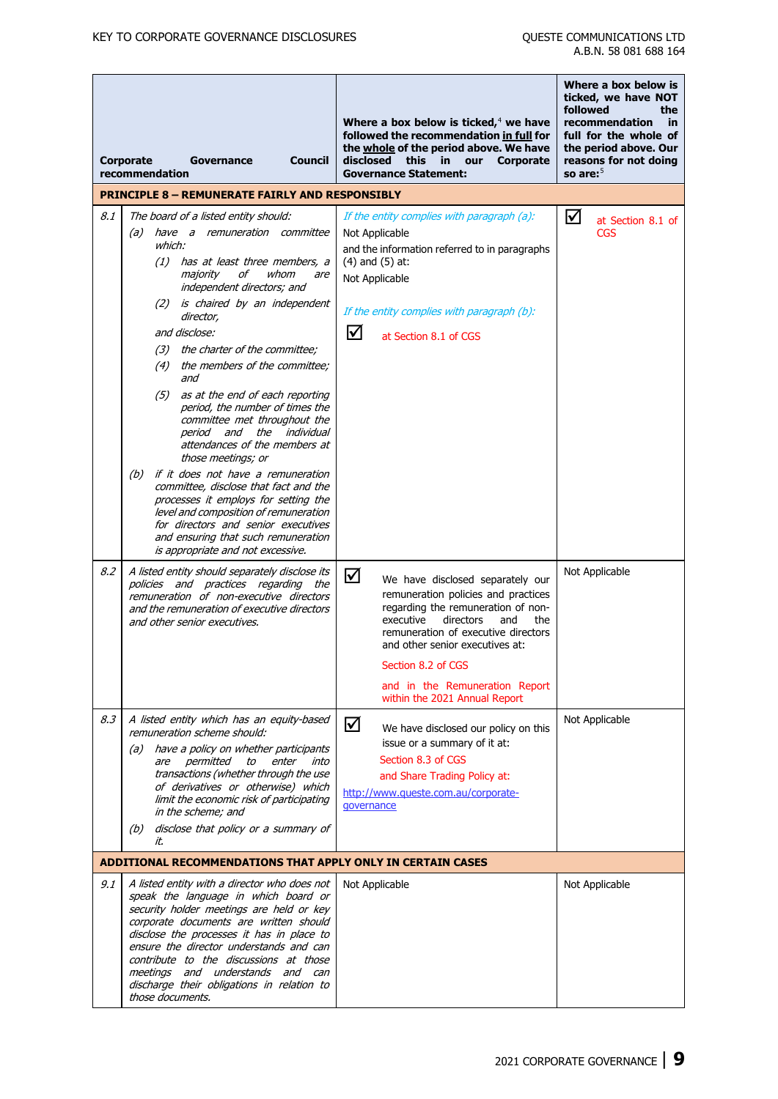|     | <b>Council</b><br><b>Corporate</b><br>Governance<br>recommendation                                                                                                                                                                                                                                                                                                                                                                                                                                                                                                                                                                                                                                                                                        | Where a box below is ticked, $4$ we have<br>followed the recommendation in full for<br>the whole of the period above. We have<br>disclosed<br>this<br>in in<br>our<br>Corporate<br><b>Governance Statement:</b>                                                                                                               | Where a box below is<br>ticked, we have NOT<br>followed<br>the<br>recommendation<br>in<br>full for the whole of<br>the period above. Our<br>reasons for not doing<br>so are: $5$ |
|-----|-----------------------------------------------------------------------------------------------------------------------------------------------------------------------------------------------------------------------------------------------------------------------------------------------------------------------------------------------------------------------------------------------------------------------------------------------------------------------------------------------------------------------------------------------------------------------------------------------------------------------------------------------------------------------------------------------------------------------------------------------------------|-------------------------------------------------------------------------------------------------------------------------------------------------------------------------------------------------------------------------------------------------------------------------------------------------------------------------------|----------------------------------------------------------------------------------------------------------------------------------------------------------------------------------|
|     | <b>PRINCIPLE 8 - REMUNERATE FAIRLY AND RESPONSIBLY</b>                                                                                                                                                                                                                                                                                                                                                                                                                                                                                                                                                                                                                                                                                                    |                                                                                                                                                                                                                                                                                                                               |                                                                                                                                                                                  |
| 8.1 | The board of a listed entity should:<br>have a remuneration committee<br>(a)<br>which:<br>(1) has at least three members, a<br>majority<br>of<br>whom<br>are<br>independent directors; and<br>(2) is chaired by an independent<br>director,<br>and disclose:<br>(3) the charter of the committee;<br>(4) the members of the committee;<br>and<br>(5) as at the end of each reporting<br>period, the number of times the<br>committee met throughout the<br>period and the individual<br>attendances of the members at<br>those meetings; or<br>if it does not have a remuneration<br>(b)<br>committee, disclose that fact and the<br>processes it employs for setting the<br>level and composition of remuneration<br>for directors and senior executives | If the entity complies with paragraph (a):<br>Not Applicable<br>and the information referred to in paragraphs<br>$(4)$ and $(5)$ at:<br>Not Applicable<br>If the entity complies with paragraph (b):<br>☑<br>at Section 8.1 of CGS                                                                                            | ☑<br>at Section 8.1 of<br><b>CGS</b>                                                                                                                                             |
| 8.2 | and ensuring that such remuneration<br>is appropriate and not excessive.<br>A listed entity should separately disclose its<br>policies and practices regarding the<br>remuneration of non-executive directors<br>and the remuneration of executive directors<br>and other senior executives.                                                                                                                                                                                                                                                                                                                                                                                                                                                              | ☑<br>We have disclosed separately our<br>remuneration policies and practices<br>regarding the remuneration of non-<br>executive<br>directors<br>the<br>and<br>remuneration of executive directors<br>and other senior executives at:<br>Section 8.2 of CGS<br>and in the Remuneration Report<br>within the 2021 Annual Report | Not Applicable                                                                                                                                                                   |
| 8.3 | A listed entity which has an equity-based<br>remuneration scheme should:<br>(a) have a policy on whether participants<br>are permitted to<br>enter<br>into<br>transactions (whether through the use<br>of derivatives or otherwise) which<br>limit the economic risk of participating<br>in the scheme; and<br>(b) disclose that policy or a summary of<br>it.                                                                                                                                                                                                                                                                                                                                                                                            | ☑<br>We have disclosed our policy on this<br>issue or a summary of it at:<br>Section 8.3 of CGS<br>and Share Trading Policy at:<br>http://www.queste.com.au/corporate-<br>qovernance                                                                                                                                          | Not Applicable                                                                                                                                                                   |
|     | ADDITIONAL RECOMMENDATIONS THAT APPLY ONLY IN CERTAIN CASES                                                                                                                                                                                                                                                                                                                                                                                                                                                                                                                                                                                                                                                                                               |                                                                                                                                                                                                                                                                                                                               |                                                                                                                                                                                  |
| 9.1 | A listed entity with a director who does not<br>speak the language in which board or<br>security holder meetings are held or key<br>corporate documents are written should<br>disclose the processes it has in place to<br>ensure the director understands and can<br>contribute to the discussions at those<br>meetings and understands and can<br>discharge their obligations in relation to<br>those documents.                                                                                                                                                                                                                                                                                                                                        | Not Applicable                                                                                                                                                                                                                                                                                                                | Not Applicable                                                                                                                                                                   |